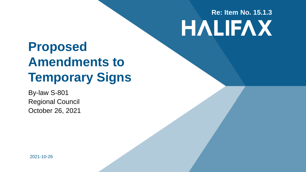# **Re: Item No. 15.1.3HALIFAX**

### **Proposed Amendments to Temporary Signs**

By-law S-801 Regional Council October 26, 2021

2021-10-26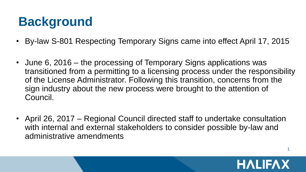# **Background**

- By-law S-801 Respecting Temporary Signs came into effect April 17, 2015
- June 6, 2016 the processing of Temporary Signs applications was transitioned from a permitting to a licensing process under the responsibility of the License Administrator. Following this transition, concerns from the sign industry about the new process were brought to the attention of Council.
- April 26, 2017 Regional Council directed staff to undertake consultation with internal and external stakeholders to consider possible by-law and administrative amendments

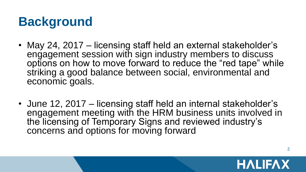# **Background**

- May 24, 2017 licensing staff held an external stakeholder's engagement session with sign industry members to discuss options on how to move forward to reduce the "red tape" while striking a good balance between social, environmental and economic goals.
- June 12, 2017 licensing staff held an internal stakeholder's engagement meeting with the HRM business units involved in the licensing of Temporary Signs and reviewed industry's concerns and options for moving forward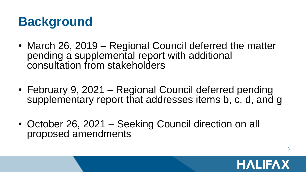## **Background**

- March 26, 2019 Regional Council deferred the matter pending a supplemental report with additional consultation from stakeholders
- February 9, 2021 Regional Council deferred pending supplementary report that addresses items b, c, d, and q
- October 26, 2021 Seeking Council direction on all proposed amendments

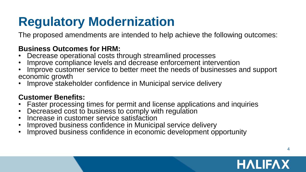## **Regulatory Modernization**

The proposed amendments are intended to help achieve the following outcomes:

#### **Business Outcomes for HRM:**

- Decrease operational costs through streamlined processes
- Improve compliance levels and decrease enforcement intervention
- Improve customer service to better meet the needs of businesses and support economic growth
- Improve stakeholder confidence in Municipal service delivery

#### **Customer Benefits:**

- Faster processing times for permit and license applications and inquiries
- Decreased cost to business to comply with regulation
- Increase in customer service satisfaction
- Improved business confidence in Municipal service delivery
- Improved business confidence in economic development opportunity

#### **HALIFAX**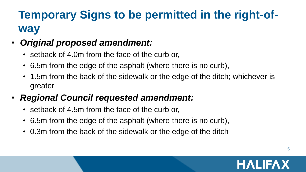#### **Temporary Signs to be permitted in the right-ofway**

#### • *Original proposed amendment:*

- setback of 4.0m from the face of the curb or,
- 6.5m from the edge of the asphalt (where there is no curb),
- 1.5m from the back of the sidewalk or the edge of the ditch; whichever is greater

#### • *Regional Council requested amendment:*

- setback of 4.5m from the face of the curb or,
- 6.5m from the edge of the asphalt (where there is no curb),
- 0.3m from the back of the sidewalk or the edge of the ditch

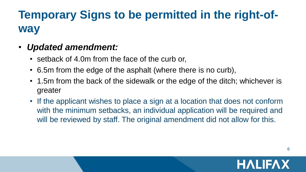#### **Temporary Signs to be permitted in the right-ofway**

#### • *Updated amendment:*

- setback of 4.0m from the face of the curb or,
- 6.5m from the edge of the asphalt (where there is no curb),
- 1.5m from the back of the sidewalk or the edge of the ditch; whichever is greater
- If the applicant wishes to place a sign at a location that does not conform with the minimum setbacks, an individual application will be required and will be reviewed by staff. The original amendment did not allow for this.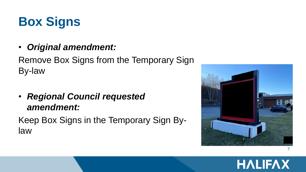

• *Original amendment:*

#### Remove Box Signs from the Temporary Sign By-law

• *Regional Council requested amendment:*

Keep Box Signs in the Temporary Sign Bylaw



#### **HALIFAX**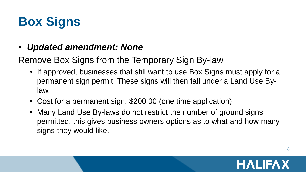# **Box Signs**

- *Updated amendment: None*
- Remove Box Signs from the Temporary Sign By-law
	- If approved, businesses that still want to use Box Signs must apply for a permanent sign permit. These signs will then fall under a Land Use Bylaw.
	- Cost for a permanent sign: \$200.00 (one time application)
	- Many Land Use By-laws do not restrict the number of ground signs permitted, this gives business owners options as to what and how many signs they would like.

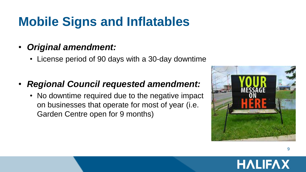### **Mobile Signs and Inflatables**

#### • *Original amendment:*

• License period of 90 days with a 30-day downtime

#### • *Regional Council requested amendment:*

• No downtime required due to the negative impact on businesses that operate for most of year (i.e. Garden Centre open for 9 months)



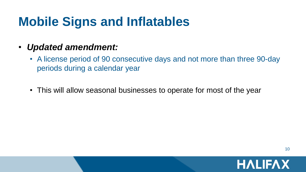#### **Mobile Signs and Inflatables**

- *Updated amendment:*
	- A license period of 90 consecutive days and not more than three 90-day periods during a calendar year
	- This will allow seasonal businesses to operate for most of the year

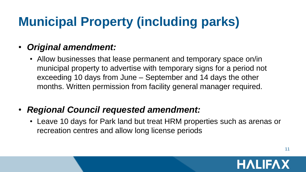# **Municipal Property (including parks)**

#### • *Original amendment:*

- Allow businesses that lease permanent and temporary space on/in municipal property to advertise with temporary signs for a period not exceeding 10 days from June – September and 14 days the other months. Written permission from facility general manager required.
- *Regional Council requested amendment:*
	- Leave 10 days for Park land but treat HRM properties such as arenas or recreation centres and allow long license periods

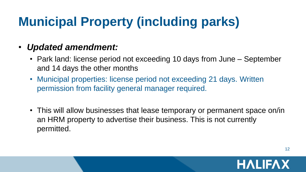# **Municipal Property (including parks)**

#### • *Updated amendment:*

- Park land: license period not exceeding 10 days from June September and 14 days the other months
- Municipal properties: license period not exceeding 21 days. Written permission from facility general manager required.
- This will allow businesses that lease temporary or permanent space on/in an HRM property to advertise their business. This is not currently permitted.

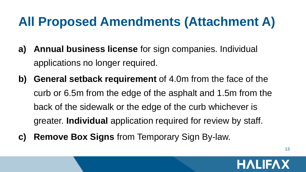- **a) Annual business license** for sign companies. Individual applications no longer required.
- **b) General setback requirement** of 4.0m from the face of the curb or 6.5m from the edge of the asphalt and 1.5m from the back of the sidewalk or the edge of the curb whichever is greater. **Individual** application required for review by staff.
- **c) Remove Box Signs** from Temporary Sign By-law.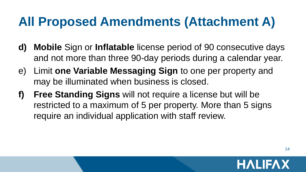- **d) Mobile** Sign or **Inflatable** license period of 90 consecutive days and not more than three 90-day periods during a calendar year.
- e) Limit **one Variable Messaging Sign** to one per property and may be illuminated when business is closed.
- **f) Free Standing Signs** will not require a license but will be restricted to a maximum of 5 per property. More than 5 signs require an individual application with staff review.

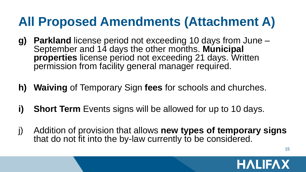- **g) Parkland** license period not exceeding 10 days from June September and 14 days the other months. **Municipal properties** license period not exceeding 21 days. Written permission from facility general manager required.
- **h) Waiving** of Temporary Sign **fees** for schools and churches.
- **i) Short Term** Events signs will be allowed for up to 10 days.
- j) Addition of provision that allows **new types of temporary signs**  that do not fit into the by-law currently to be considered.

**HALIFAX**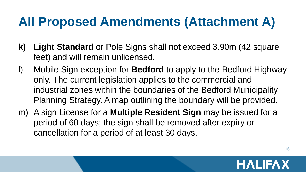- **k) Light Standard** or Pole Signs shall not exceed 3.90m (42 square feet) and will remain unlicensed.
- l) Mobile Sign exception for **Bedford** to apply to the Bedford Highway only. The current legislation applies to the commercial and industrial zones within the boundaries of the Bedford Municipality Planning Strategy. A map outlining the boundary will be provided.
- m) A sign License for a **Multiple Resident Sign** may be issued for a period of 60 days; the sign shall be removed after expiry or cancellation for a period of at least 30 days.

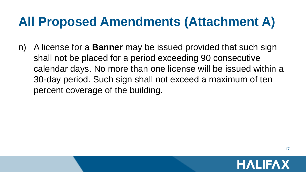n) A license for a **Banner** may be issued provided that such sign shall not be placed for a period exceeding 90 consecutive calendar days. No more than one license will be issued within a 30-day period. Such sign shall not exceed a maximum of ten percent coverage of the building.

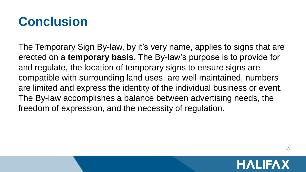### **Conclusion**

The Temporary Sign By-law, by it's very name, applies to signs that are erected on a **temporary basis**. The By-law's purpose is to provide for and regulate, the location of temporary signs to ensure signs are compatible with surrounding land uses, are well maintained, numbers are limited and express the identity of the individual business or event. The By-law accomplishes a balance between advertising needs, the freedom of expression, and the necessity of regulation.